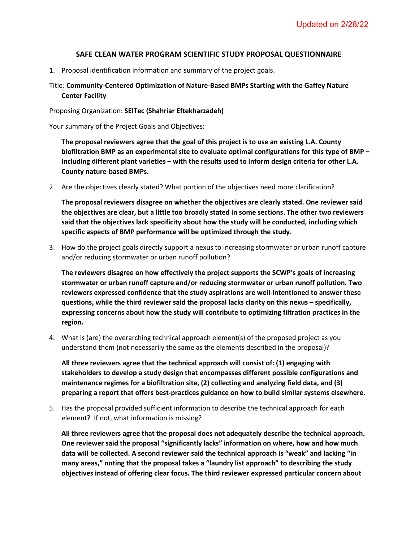## **SAFE CLEAN WATER PROGRAM SCIENTIFIC STUDY PROPOSAL QUESTIONNAIRE**

1. Proposal identification information and summary of the project goals.

## Title: **Community-Centered Optimization of Nature-Based BMPs Starting with the Gaffey Nature Center Facility**

Proposing Organization: **SEITec (Shahriar Eftekharzadeh)**

Your summary of the Project Goals and Objectives:

**The proposal reviewers agree that the goal of this project is to use an existing L.A. County biofiltration BMP as an experimental site to evaluate optimal configurations for this type of BMP – including different plant varieties – with the results used to inform design criteria for other L.A. County nature-based BMPs.** 

2. Are the objectives clearly stated? What portion of the objectives need more clarification?

**The proposal reviewers disagree on whether the objectives are clearly stated. One reviewer said the objectives are clear, but a little too broadly stated in some sections. The other two reviewers said that the objectives lack specificity about how the study will be conducted, including which specific aspects of BMP performance will be optimized through the study.**

3. How do the project goals directly support a nexus to increasing stormwater or urban runoff capture and/or reducing stormwater or urban runoff pollution?

**The reviewers disagree on how effectively the project supports the SCWP's goals of increasing stormwater or urban runoff capture and/or reducing stormwater or urban runoff pollution. Two reviewers expressed confidence that the study aspirations are well-intentioned to answer these questions, while the third reviewer said the proposal lacks clarity on this nexus – specifically, expressing concerns about how the study will contribute to optimizing filtration practices in the region.**

4. What is (are) the overarching technical approach element(s) of the proposed project as you understand them (not necessarily the same as the elements described in the proposal)?

**All three reviewers agree that the technical approach will consist of: (1) engaging with stakeholders to develop a study design that encompasses different possible configurations and maintenance regimes for a biofiltration site, (2) collecting and analyzing field data, and (3) preparing a report that offers best-practices guidance on how to build similar systems elsewhere.**

5. Has the proposal provided sufficient information to describe the technical approach for each element? If not, what information is missing?

**All three reviewers agree that the proposal does not adequately describe the technical approach. One reviewer said the proposal "significantly lacks" information on where, how and how much data will be collected. A second reviewer said the technical approach is "weak" and lacking "in many areas," noting that the proposal takes a "laundry list approach" to describing the study objectives instead of offering clear focus. The third reviewer expressed particular concern about**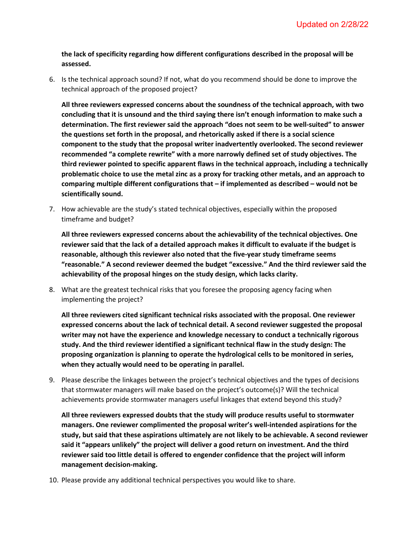**the lack of specificity regarding how different configurations described in the proposal will be assessed.**

6. Is the technical approach sound? If not, what do you recommend should be done to improve the technical approach of the proposed project?

**All three reviewers expressed concerns about the soundness of the technical approach, with two concluding that it is unsound and the third saying there isn't enough information to make such a determination. The first reviewer said the approach "does not seem to be well-suited" to answer the questions set forth in the proposal, and rhetorically asked if there is a social science component to the study that the proposal writer inadvertently overlooked. The second reviewer recommended "a complete rewrite" with a more narrowly defined set of study objectives. The third reviewer pointed to specific apparent flaws in the technical approach, including a technically problematic choice to use the metal zinc as a proxy for tracking other metals, and an approach to comparing multiple different configurations that – if implemented as described – would not be scientifically sound.** 

7. How achievable are the study's stated technical objectives, especially within the proposed timeframe and budget?

**All three reviewers expressed concerns about the achievability of the technical objectives. One reviewer said that the lack of a detailed approach makes it difficult to evaluate if the budget is reasonable, although this reviewer also noted that the five-year study timeframe seems "reasonable." A second reviewer deemed the budget "excessive." And the third reviewer said the achievability of the proposal hinges on the study design, which lacks clarity.** 

8. What are the greatest technical risks that you foresee the proposing agency facing when implementing the project?

**All three reviewers cited significant technical risks associated with the proposal. One reviewer expressed concerns about the lack of technical detail. A second reviewer suggested the proposal writer may not have the experience and knowledge necessary to conduct a technically rigorous study. And the third reviewer identified a significant technical flaw in the study design: The proposing organization is planning to operate the hydrological cells to be monitored in series, when they actually would need to be operating in parallel.** 

9. Please describe the linkages between the project's technical objectives and the types of decisions that stormwater managers will make based on the project's outcome(s)? Will the technical achievements provide stormwater managers useful linkages that extend beyond this study?

**All three reviewers expressed doubts that the study will produce results useful to stormwater managers. One reviewer complimented the proposal writer's well-intended aspirations for the study, but said that these aspirations ultimately are not likely to be achievable. A second reviewer said it "appears unlikely" the project will deliver a good return on investment. And the third reviewer said too little detail is offered to engender confidence that the project will inform management decision-making.**

10. Please provide any additional technical perspectives you would like to share.